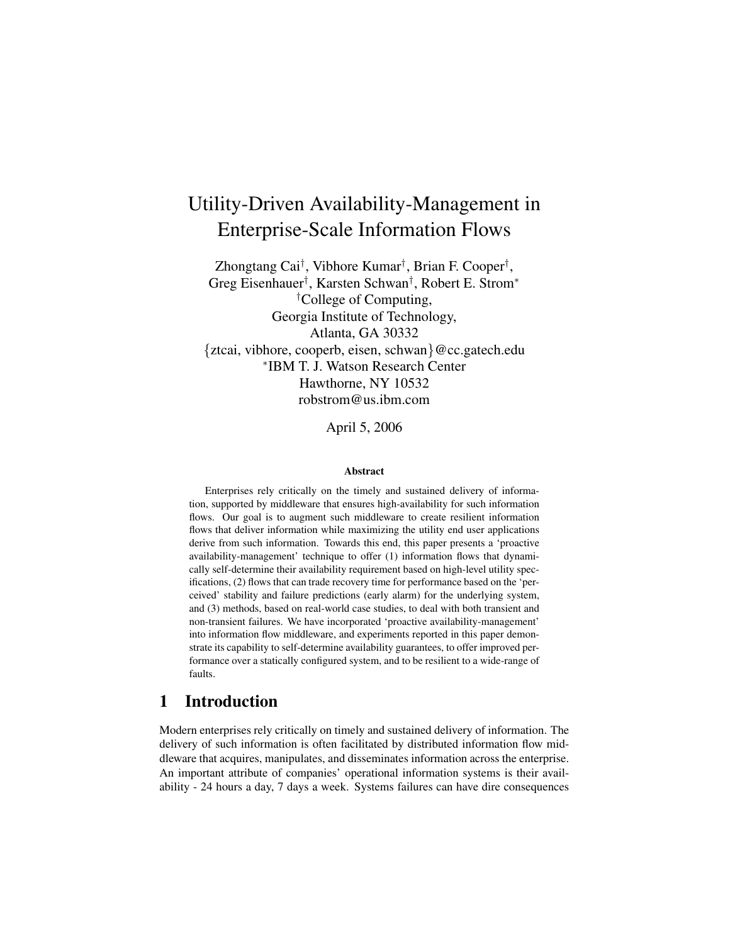# Utility-Driven Availability-Management in Enterprise-Scale Information Flows

Zhongtang Cai† , Vibhore Kumar† , Brian F. Cooper† , Greg Eisenhauer† , Karsten Schwan† , Robert E. Strom<sup>∗</sup> †College of Computing, Georgia Institute of Technology, Atlanta, GA 30332 {ztcai, vibhore, cooperb, eisen, schwan}@cc.gatech.edu ∗ IBM T. J. Watson Research Center Hawthorne, NY 10532 robstrom@us.ibm.com

April 5, 2006

#### Abstract

Enterprises rely critically on the timely and sustained delivery of information, supported by middleware that ensures high-availability for such information flows. Our goal is to augment such middleware to create resilient information flows that deliver information while maximizing the utility end user applications derive from such information. Towards this end, this paper presents a 'proactive availability-management' technique to offer (1) information flows that dynamically self-determine their availability requirement based on high-level utility specifications, (2) flows that can trade recovery time for performance based on the 'perceived' stability and failure predictions (early alarm) for the underlying system, and (3) methods, based on real-world case studies, to deal with both transient and non-transient failures. We have incorporated 'proactive availability-management' into information flow middleware, and experiments reported in this paper demonstrate its capability to self-determine availability guarantees, to offer improved performance over a statically configured system, and to be resilient to a wide-range of faults.

# 1 Introduction

Modern enterprises rely critically on timely and sustained delivery of information. The delivery of such information is often facilitated by distributed information flow middleware that acquires, manipulates, and disseminates information across the enterprise. An important attribute of companies' operational information systems is their availability - 24 hours a day, 7 days a week. Systems failures can have dire consequences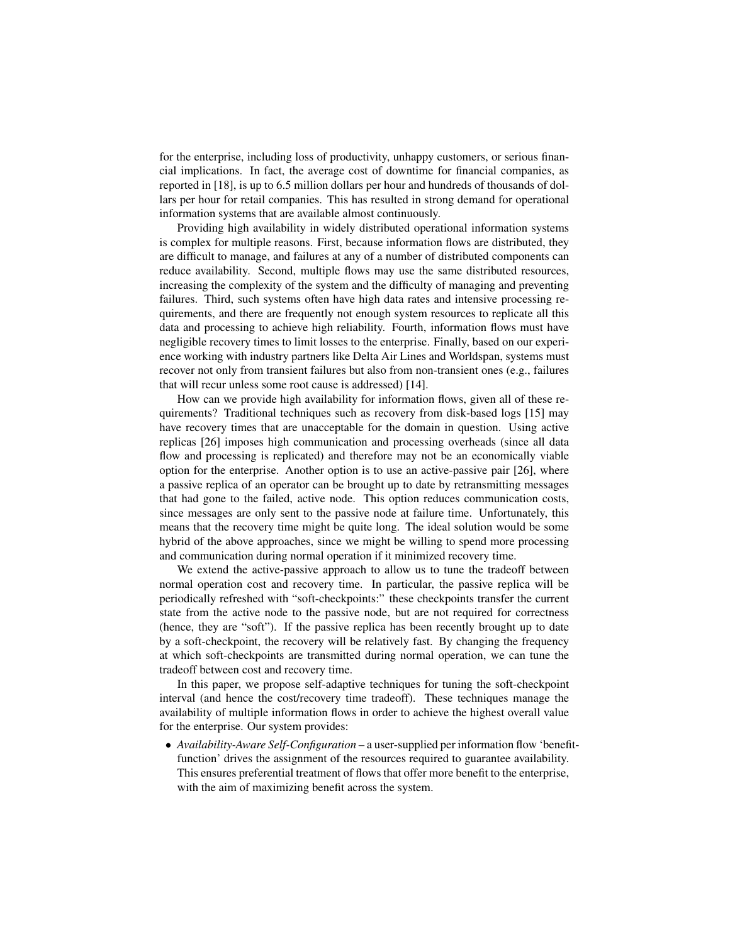for the enterprise, including loss of productivity, unhappy customers, or serious financial implications. In fact, the average cost of downtime for financial companies, as reported in [18], is up to 6.5 million dollars per hour and hundreds of thousands of dollars per hour for retail companies. This has resulted in strong demand for operational information systems that are available almost continuously.

Providing high availability in widely distributed operational information systems is complex for multiple reasons. First, because information flows are distributed, they are difficult to manage, and failures at any of a number of distributed components can reduce availability. Second, multiple flows may use the same distributed resources, increasing the complexity of the system and the difficulty of managing and preventing failures. Third, such systems often have high data rates and intensive processing requirements, and there are frequently not enough system resources to replicate all this data and processing to achieve high reliability. Fourth, information flows must have negligible recovery times to limit losses to the enterprise. Finally, based on our experience working with industry partners like Delta Air Lines and Worldspan, systems must recover not only from transient failures but also from non-transient ones (e.g., failures that will recur unless some root cause is addressed) [14].

How can we provide high availability for information flows, given all of these requirements? Traditional techniques such as recovery from disk-based logs [15] may have recovery times that are unacceptable for the domain in question. Using active replicas [26] imposes high communication and processing overheads (since all data flow and processing is replicated) and therefore may not be an economically viable option for the enterprise. Another option is to use an active-passive pair [26], where a passive replica of an operator can be brought up to date by retransmitting messages that had gone to the failed, active node. This option reduces communication costs, since messages are only sent to the passive node at failure time. Unfortunately, this means that the recovery time might be quite long. The ideal solution would be some hybrid of the above approaches, since we might be willing to spend more processing and communication during normal operation if it minimized recovery time.

We extend the active-passive approach to allow us to tune the tradeoff between normal operation cost and recovery time. In particular, the passive replica will be periodically refreshed with "soft-checkpoints:" these checkpoints transfer the current state from the active node to the passive node, but are not required for correctness (hence, they are "soft"). If the passive replica has been recently brought up to date by a soft-checkpoint, the recovery will be relatively fast. By changing the frequency at which soft-checkpoints are transmitted during normal operation, we can tune the tradeoff between cost and recovery time.

In this paper, we propose self-adaptive techniques for tuning the soft-checkpoint interval (and hence the cost/recovery time tradeoff). These techniques manage the availability of multiple information flows in order to achieve the highest overall value for the enterprise. Our system provides:

• *Availability-Aware Self-Configuration* – a user-supplied per information flow 'benefitfunction' drives the assignment of the resources required to guarantee availability. This ensures preferential treatment of flows that offer more benefit to the enterprise, with the aim of maximizing benefit across the system.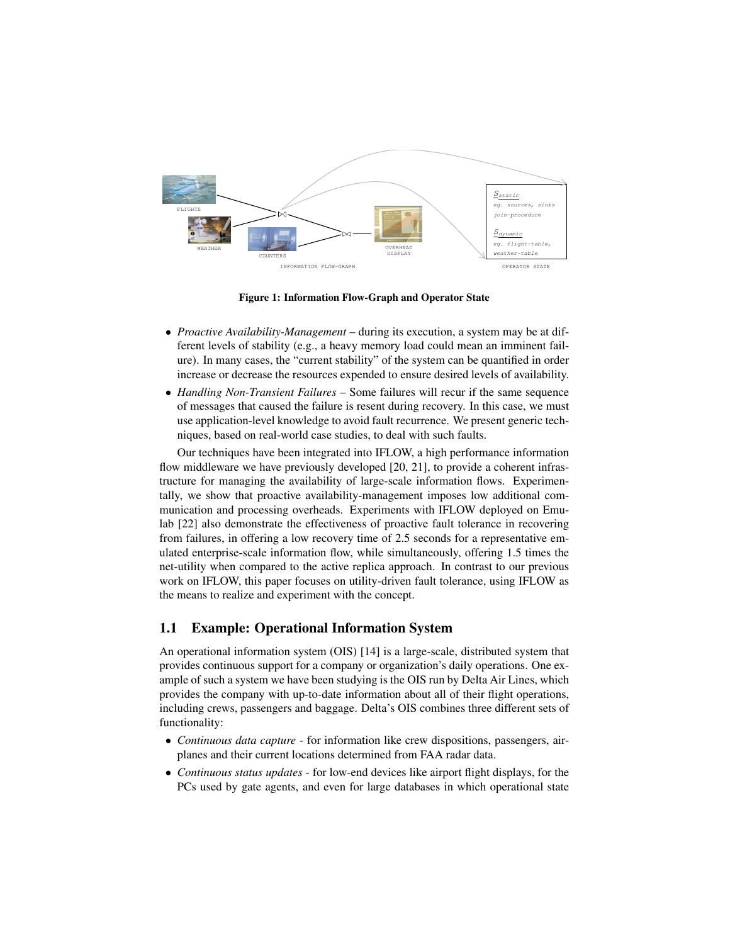

Figure 1: Information Flow-Graph and Operator State

- *Proactive Availability-Management* during its execution, a system may be at different levels of stability (e.g., a heavy memory load could mean an imminent failure). In many cases, the "current stability" of the system can be quantified in order increase or decrease the resources expended to ensure desired levels of availability.
- *Handling Non-Transient Failures* Some failures will recur if the same sequence of messages that caused the failure is resent during recovery. In this case, we must use application-level knowledge to avoid fault recurrence. We present generic techniques, based on real-world case studies, to deal with such faults.

Our techniques have been integrated into IFLOW, a high performance information flow middleware we have previously developed [20, 21], to provide a coherent infrastructure for managing the availability of large-scale information flows. Experimentally, we show that proactive availability-management imposes low additional communication and processing overheads. Experiments with IFLOW deployed on Emulab [22] also demonstrate the effectiveness of proactive fault tolerance in recovering from failures, in offering a low recovery time of 2.5 seconds for a representative emulated enterprise-scale information flow, while simultaneously, offering 1.5 times the net-utility when compared to the active replica approach. In contrast to our previous work on IFLOW, this paper focuses on utility-driven fault tolerance, using IFLOW as the means to realize and experiment with the concept.

### 1.1 Example: Operational Information System

An operational information system (OIS) [14] is a large-scale, distributed system that provides continuous support for a company or organization's daily operations. One example of such a system we have been studying is the OIS run by Delta Air Lines, which provides the company with up-to-date information about all of their flight operations, including crews, passengers and baggage. Delta's OIS combines three different sets of functionality:

- *Continuous data capture* for information like crew dispositions, passengers, airplanes and their current locations determined from FAA radar data.
- *Continuous status updates* for low-end devices like airport flight displays, for the PCs used by gate agents, and even for large databases in which operational state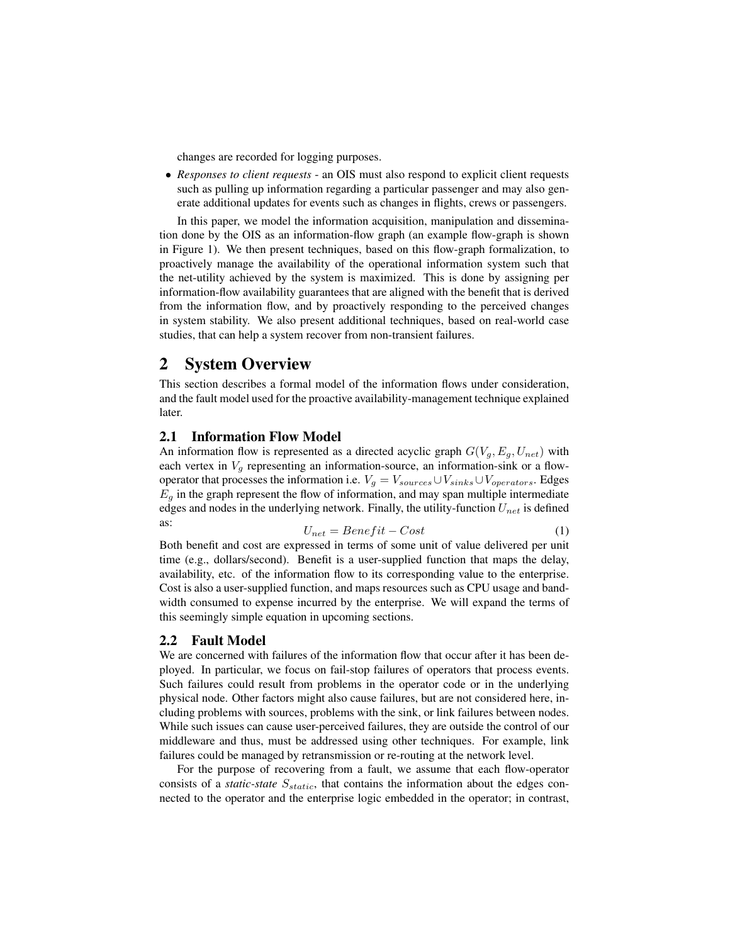changes are recorded for logging purposes.

• *Responses to client requests* - an OIS must also respond to explicit client requests such as pulling up information regarding a particular passenger and may also generate additional updates for events such as changes in flights, crews or passengers.

In this paper, we model the information acquisition, manipulation and dissemination done by the OIS as an information-flow graph (an example flow-graph is shown in Figure 1). We then present techniques, based on this flow-graph formalization, to proactively manage the availability of the operational information system such that the net-utility achieved by the system is maximized. This is done by assigning per information-flow availability guarantees that are aligned with the benefit that is derived from the information flow, and by proactively responding to the perceived changes in system stability. We also present additional techniques, based on real-world case studies, that can help a system recover from non-transient failures.

# 2 System Overview

This section describes a formal model of the information flows under consideration, and the fault model used for the proactive availability-management technique explained later.

#### 2.1 Information Flow Model

An information flow is represented as a directed acyclic graph  $G(V_q, E_q, U_{net})$  with each vertex in  $V<sub>g</sub>$  representing an information-source, an information-sink or a flowoperator that processes the information i.e.  $V_g = V_{sources} \cup V_{sinks} \cup V_{operators}$ . Edges  $E<sub>g</sub>$  in the graph represent the flow of information, and may span multiple intermediate edges and nodes in the underlying network. Finally, the utility-function  $U_{net}$  is defined as:

$$
U_{net} = Benefit - Cost \tag{1}
$$

Both benefit and cost are expressed in terms of some unit of value delivered per unit time (e.g., dollars/second). Benefit is a user-supplied function that maps the delay, availability, etc. of the information flow to its corresponding value to the enterprise. Cost is also a user-supplied function, and maps resources such as CPU usage and bandwidth consumed to expense incurred by the enterprise. We will expand the terms of this seemingly simple equation in upcoming sections.

#### 2.2 Fault Model

We are concerned with failures of the information flow that occur after it has been deployed. In particular, we focus on fail-stop failures of operators that process events. Such failures could result from problems in the operator code or in the underlying physical node. Other factors might also cause failures, but are not considered here, including problems with sources, problems with the sink, or link failures between nodes. While such issues can cause user-perceived failures, they are outside the control of our middleware and thus, must be addressed using other techniques. For example, link failures could be managed by retransmission or re-routing at the network level.

For the purpose of recovering from a fault, we assume that each flow-operator consists of a *static-state*  $S<sub>static</sub>$ , that contains the information about the edges connected to the operator and the enterprise logic embedded in the operator; in contrast,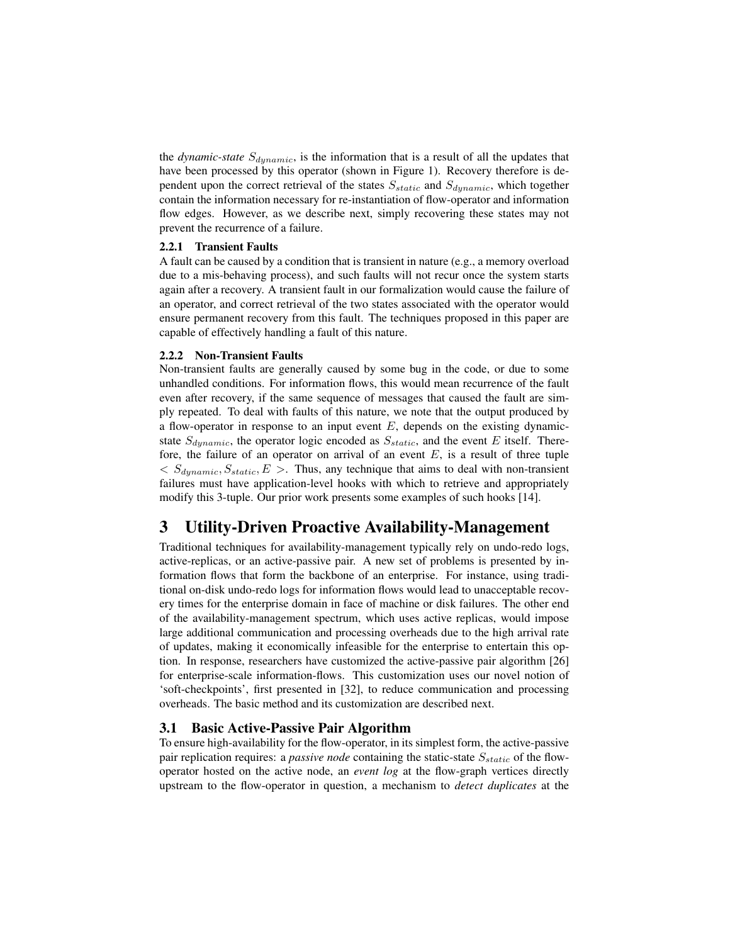the *dynamic-state*  $S_{dynamic}$ , is the information that is a result of all the updates that have been processed by this operator (shown in Figure 1). Recovery therefore is dependent upon the correct retrieval of the states  $S_{static}$  and  $S_{dynamic}$ , which together contain the information necessary for re-instantiation of flow-operator and information flow edges. However, as we describe next, simply recovering these states may not prevent the recurrence of a failure.

#### 2.2.1 Transient Faults

A fault can be caused by a condition that is transient in nature (e.g., a memory overload due to a mis-behaving process), and such faults will not recur once the system starts again after a recovery. A transient fault in our formalization would cause the failure of an operator, and correct retrieval of the two states associated with the operator would ensure permanent recovery from this fault. The techniques proposed in this paper are capable of effectively handling a fault of this nature.

#### 2.2.2 Non-Transient Faults

Non-transient faults are generally caused by some bug in the code, or due to some unhandled conditions. For information flows, this would mean recurrence of the fault even after recovery, if the same sequence of messages that caused the fault are simply repeated. To deal with faults of this nature, we note that the output produced by a flow-operator in response to an input event  $E$ , depends on the existing dynamicstate  $S_{dynamic}$ , the operator logic encoded as  $S_{static}$ , and the event E itself. Therefore, the failure of an operator on arrival of an event  $E$ , is a result of three tuple  $\langle S_{dynamic}, S_{static}, E \rangle$ . Thus, any technique that aims to deal with non-transient failures must have application-level hooks with which to retrieve and appropriately modify this 3-tuple. Our prior work presents some examples of such hooks [14].

# 3 Utility-Driven Proactive Availability-Management

Traditional techniques for availability-management typically rely on undo-redo logs, active-replicas, or an active-passive pair. A new set of problems is presented by information flows that form the backbone of an enterprise. For instance, using traditional on-disk undo-redo logs for information flows would lead to unacceptable recovery times for the enterprise domain in face of machine or disk failures. The other end of the availability-management spectrum, which uses active replicas, would impose large additional communication and processing overheads due to the high arrival rate of updates, making it economically infeasible for the enterprise to entertain this option. In response, researchers have customized the active-passive pair algorithm [26] for enterprise-scale information-flows. This customization uses our novel notion of 'soft-checkpoints', first presented in [32], to reduce communication and processing overheads. The basic method and its customization are described next.

### 3.1 Basic Active-Passive Pair Algorithm

To ensure high-availability for the flow-operator, in its simplest form, the active-passive pair replication requires: a *passive node* containing the static-state  $S_{static}$  of the flowoperator hosted on the active node, an *event log* at the flow-graph vertices directly upstream to the flow-operator in question, a mechanism to *detect duplicates* at the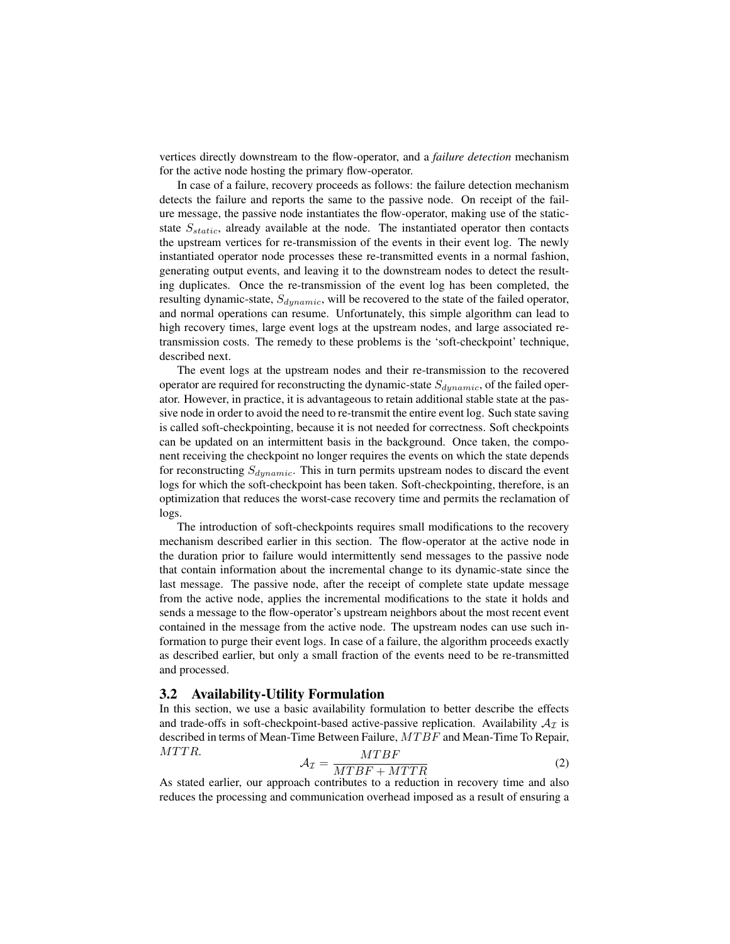vertices directly downstream to the flow-operator, and a *failure detection* mechanism for the active node hosting the primary flow-operator.

In case of a failure, recovery proceeds as follows: the failure detection mechanism detects the failure and reports the same to the passive node. On receipt of the failure message, the passive node instantiates the flow-operator, making use of the staticstate  $S_{static}$ , already available at the node. The instantiated operator then contacts the upstream vertices for re-transmission of the events in their event log. The newly instantiated operator node processes these re-transmitted events in a normal fashion, generating output events, and leaving it to the downstream nodes to detect the resulting duplicates. Once the re-transmission of the event log has been completed, the resulting dynamic-state,  $S_{dynamic}$ , will be recovered to the state of the failed operator, and normal operations can resume. Unfortunately, this simple algorithm can lead to high recovery times, large event logs at the upstream nodes, and large associated retransmission costs. The remedy to these problems is the 'soft-checkpoint' technique, described next.

The event logs at the upstream nodes and their re-transmission to the recovered operator are required for reconstructing the dynamic-state  $S_{dynamic}$ , of the failed operator. However, in practice, it is advantageous to retain additional stable state at the passive node in order to avoid the need to re-transmit the entire event log. Such state saving is called soft-checkpointing, because it is not needed for correctness. Soft checkpoints can be updated on an intermittent basis in the background. Once taken, the component receiving the checkpoint no longer requires the events on which the state depends for reconstructing  $S_{dynamic}$ . This in turn permits upstream nodes to discard the event logs for which the soft-checkpoint has been taken. Soft-checkpointing, therefore, is an optimization that reduces the worst-case recovery time and permits the reclamation of logs.

The introduction of soft-checkpoints requires small modifications to the recovery mechanism described earlier in this section. The flow-operator at the active node in the duration prior to failure would intermittently send messages to the passive node that contain information about the incremental change to its dynamic-state since the last message. The passive node, after the receipt of complete state update message from the active node, applies the incremental modifications to the state it holds and sends a message to the flow-operator's upstream neighbors about the most recent event contained in the message from the active node. The upstream nodes can use such information to purge their event logs. In case of a failure, the algorithm proceeds exactly as described earlier, but only a small fraction of the events need to be re-transmitted and processed.

### 3.2 Availability-Utility Formulation

In this section, we use a basic availability formulation to better describe the effects and trade-offs in soft-checkpoint-based active-passive replication. Availability  $A<sub>T</sub>$  is described in terms of Mean-Time Between Failure, MT BF and Mean-Time To Repair, MTTR.  $MTDF$ 

$$
\mathcal{A}_{\mathcal{I}} = \frac{MIDF}{MTBF + MTTR} \tag{2}
$$

As stated earlier, our approach contributes to a reduction in recovery time and also reduces the processing and communication overhead imposed as a result of ensuring a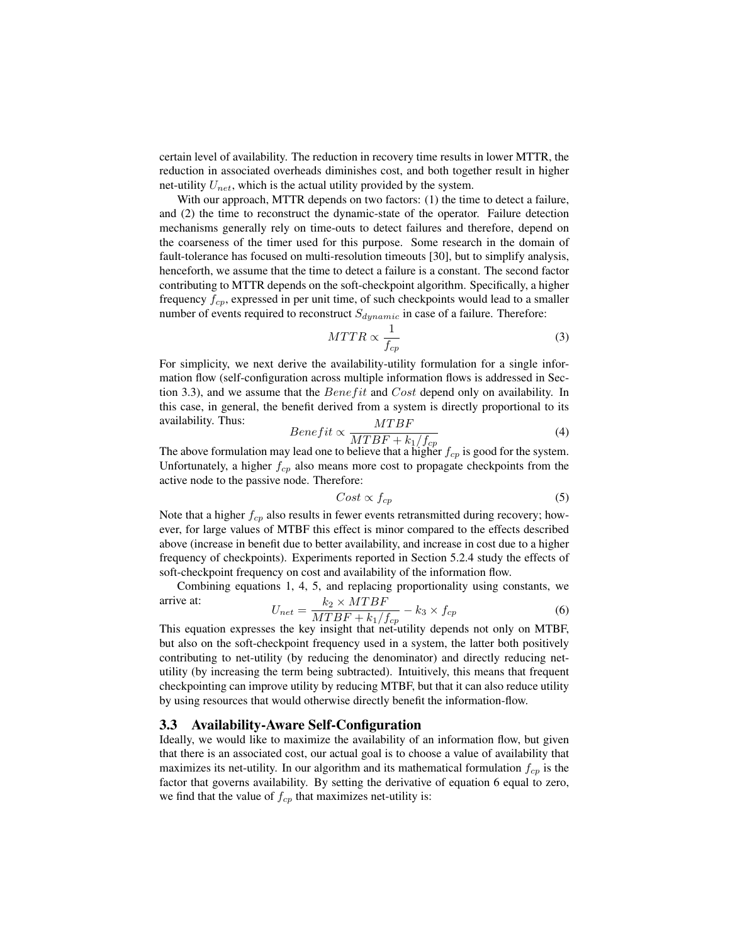certain level of availability. The reduction in recovery time results in lower MTTR, the reduction in associated overheads diminishes cost, and both together result in higher net-utility  $U_{net}$ , which is the actual utility provided by the system.

With our approach, MTTR depends on two factors: (1) the time to detect a failure, and (2) the time to reconstruct the dynamic-state of the operator. Failure detection mechanisms generally rely on time-outs to detect failures and therefore, depend on the coarseness of the timer used for this purpose. Some research in the domain of fault-tolerance has focused on multi-resolution timeouts [30], but to simplify analysis, henceforth, we assume that the time to detect a failure is a constant. The second factor contributing to MTTR depends on the soft-checkpoint algorithm. Specifically, a higher frequency  $f_{cp}$ , expressed in per unit time, of such checkpoints would lead to a smaller number of events required to reconstruct  $S_{dynamic}$  in case of a failure. Therefore:

$$
MTTR \propto \frac{1}{f_{cp}}\tag{3}
$$

For simplicity, we next derive the availability-utility formulation for a single information flow (self-configuration across multiple information flows is addressed in Section 3.3), and we assume that the  $Benefit$  and  $Cost$  depend only on availability. In this case, in general, the benefit derived from a system is directly proportional to its availability. Thus:  $MTDE$ 

$$
Benefit \propto \frac{MIBF}{MTBF + k_1/f_{cp}}
$$
\n(4)

The above formulation may lead one to believe that a higher  $f_{cp}$  is good for the system. Unfortunately, a higher  $f_{cp}$  also means more cost to propagate checkpoints from the active node to the passive node. Therefore:

$$
Cost \propto f_{cp} \tag{5}
$$

Note that a higher  $f_{cp}$  also results in fewer events retransmitted during recovery; however, for large values of MTBF this effect is minor compared to the effects described above (increase in benefit due to better availability, and increase in cost due to a higher frequency of checkpoints). Experiments reported in Section 5.2.4 study the effects of soft-checkpoint frequency on cost and availability of the information flow.

Combining equations 1, 4, 5, and replacing proportionality using constants, we arrive at:  $k_2 \times MTRF$ 

$$
U_{net} = \frac{k_2 \times M111}{MTBF + k_1/f_{cp}} - k_3 \times f_{cp}
$$
 (6)

This equation expresses the key insight that net-utility depends not only on MTBF, but also on the soft-checkpoint frequency used in a system, the latter both positively contributing to net-utility (by reducing the denominator) and directly reducing netutility (by increasing the term being subtracted). Intuitively, this means that frequent checkpointing can improve utility by reducing MTBF, but that it can also reduce utility by using resources that would otherwise directly benefit the information-flow.

### 3.3 Availability-Aware Self-Configuration

Ideally, we would like to maximize the availability of an information flow, but given that there is an associated cost, our actual goal is to choose a value of availability that maximizes its net-utility. In our algorithm and its mathematical formulation  $f_{cp}$  is the factor that governs availability. By setting the derivative of equation 6 equal to zero, we find that the value of  $f_{cp}$  that maximizes net-utility is: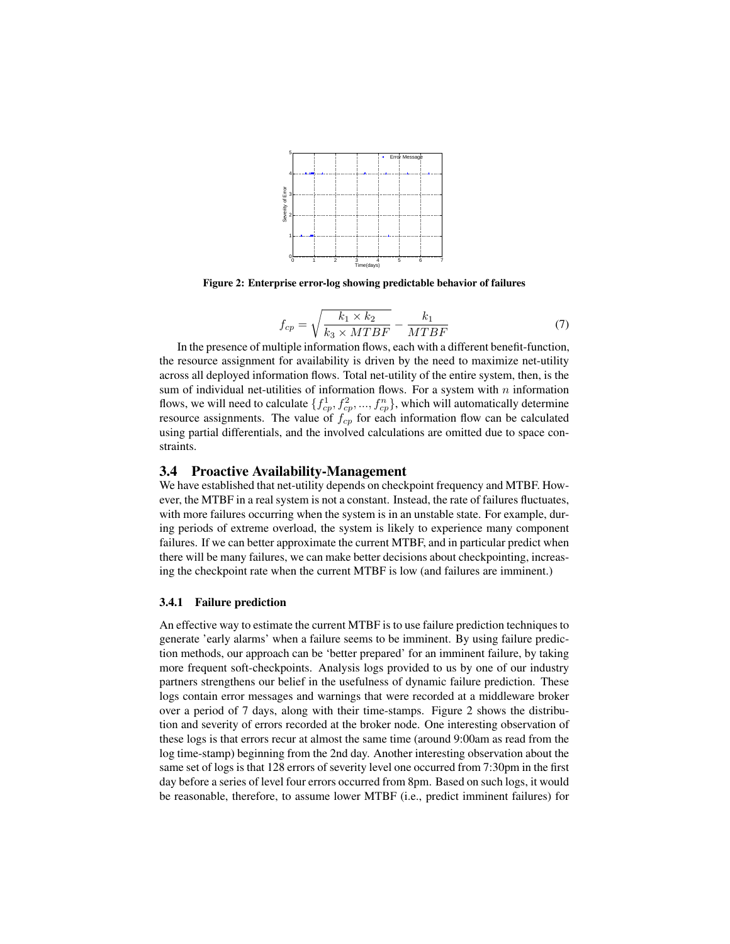

Figure 2: Enterprise error-log showing predictable behavior of failures

$$
f_{cp} = \sqrt{\frac{k_1 \times k_2}{k_3 \times MTBF}} - \frac{k_1}{MTBF}
$$
\n(7)

In the presence of multiple information flows, each with a different benefit-function, the resource assignment for availability is driven by the need to maximize net-utility across all deployed information flows. Total net-utility of the entire system, then, is the sum of individual net-utilities of information flows. For a system with  $n$  information flows, we will need to calculate  $\{f_{cp}^1, f_{cp}^2, ..., f_{cp}^n\}$ , which will automatically determine resource assignments. The value of  $f_{cp}$  for each information flow can be calculated using partial differentials, and the involved calculations are omitted due to space constraints.

### 3.4 Proactive Availability-Management

We have established that net-utility depends on checkpoint frequency and MTBF. However, the MTBF in a real system is not a constant. Instead, the rate of failures fluctuates, with more failures occurring when the system is in an unstable state. For example, during periods of extreme overload, the system is likely to experience many component failures. If we can better approximate the current MTBF, and in particular predict when there will be many failures, we can make better decisions about checkpointing, increasing the checkpoint rate when the current MTBF is low (and failures are imminent.)

#### 3.4.1 Failure prediction

An effective way to estimate the current MTBF is to use failure prediction techniques to generate 'early alarms' when a failure seems to be imminent. By using failure prediction methods, our approach can be 'better prepared' for an imminent failure, by taking more frequent soft-checkpoints. Analysis logs provided to us by one of our industry partners strengthens our belief in the usefulness of dynamic failure prediction. These logs contain error messages and warnings that were recorded at a middleware broker over a period of 7 days, along with their time-stamps. Figure 2 shows the distribution and severity of errors recorded at the broker node. One interesting observation of these logs is that errors recur at almost the same time (around 9:00am as read from the log time-stamp) beginning from the 2nd day. Another interesting observation about the same set of logs is that 128 errors of severity level one occurred from 7:30pm in the first day before a series of level four errors occurred from 8pm. Based on such logs, it would be reasonable, therefore, to assume lower MTBF (i.e., predict imminent failures) for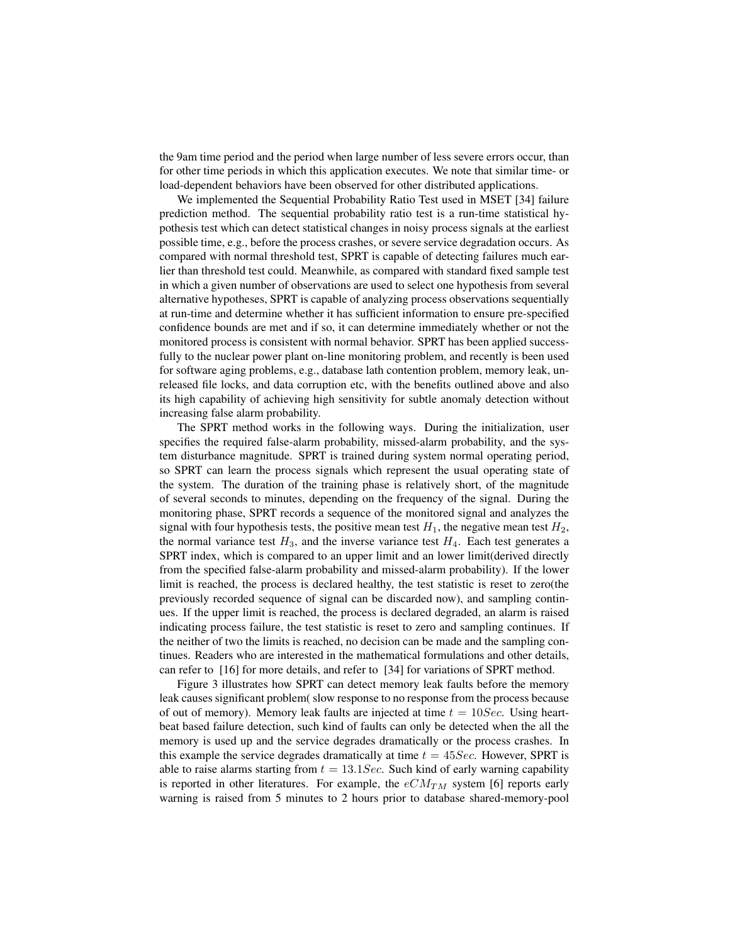the 9am time period and the period when large number of less severe errors occur, than for other time periods in which this application executes. We note that similar time- or load-dependent behaviors have been observed for other distributed applications.

We implemented the Sequential Probability Ratio Test used in MSET [34] failure prediction method. The sequential probability ratio test is a run-time statistical hypothesis test which can detect statistical changes in noisy process signals at the earliest possible time, e.g., before the process crashes, or severe service degradation occurs. As compared with normal threshold test, SPRT is capable of detecting failures much earlier than threshold test could. Meanwhile, as compared with standard fixed sample test in which a given number of observations are used to select one hypothesis from several alternative hypotheses, SPRT is capable of analyzing process observations sequentially at run-time and determine whether it has sufficient information to ensure pre-specified confidence bounds are met and if so, it can determine immediately whether or not the monitored process is consistent with normal behavior. SPRT has been applied successfully to the nuclear power plant on-line monitoring problem, and recently is been used for software aging problems, e.g., database lath contention problem, memory leak, unreleased file locks, and data corruption etc, with the benefits outlined above and also its high capability of achieving high sensitivity for subtle anomaly detection without increasing false alarm probability.

The SPRT method works in the following ways. During the initialization, user specifies the required false-alarm probability, missed-alarm probability, and the system disturbance magnitude. SPRT is trained during system normal operating period, so SPRT can learn the process signals which represent the usual operating state of the system. The duration of the training phase is relatively short, of the magnitude of several seconds to minutes, depending on the frequency of the signal. During the monitoring phase, SPRT records a sequence of the monitored signal and analyzes the signal with four hypothesis tests, the positive mean test  $H_1$ , the negative mean test  $H_2$ , the normal variance test  $H_3$ , and the inverse variance test  $H_4$ . Each test generates a SPRT index, which is compared to an upper limit and an lower limit(derived directly from the specified false-alarm probability and missed-alarm probability). If the lower limit is reached, the process is declared healthy, the test statistic is reset to zero(the previously recorded sequence of signal can be discarded now), and sampling continues. If the upper limit is reached, the process is declared degraded, an alarm is raised indicating process failure, the test statistic is reset to zero and sampling continues. If the neither of two the limits is reached, no decision can be made and the sampling continues. Readers who are interested in the mathematical formulations and other details, can refer to [16] for more details, and refer to [34] for variations of SPRT method.

Figure 3 illustrates how SPRT can detect memory leak faults before the memory leak causes significant problem( slow response to no response from the process because of out of memory). Memory leak faults are injected at time  $t = 10Sec$ . Using heartbeat based failure detection, such kind of faults can only be detected when the all the memory is used up and the service degrades dramatically or the process crashes. In this example the service degrades dramatically at time  $t = 45Sec$ . However, SPRT is able to raise alarms starting from  $t = 13.1Sec$ . Such kind of early warning capability is reported in other literatures. For example, the  $eCM_{TM}$  system [6] reports early warning is raised from 5 minutes to 2 hours prior to database shared-memory-pool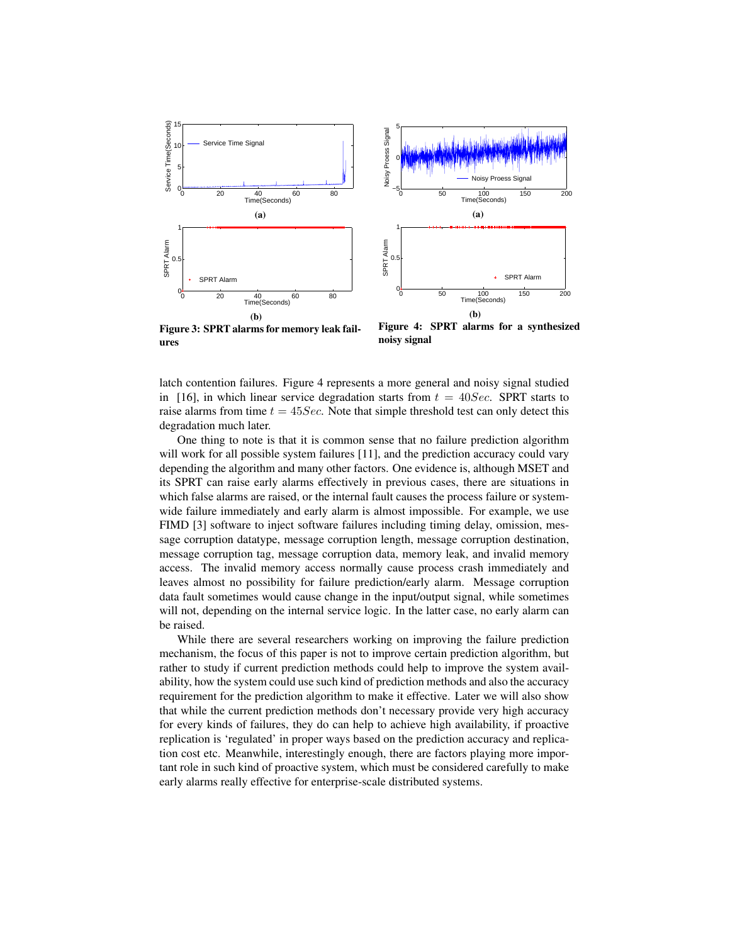

Figure 3: SPRT alarms for memory leak failures noisy signal

Figure 4: SPRT alarms for a synthesized

latch contention failures. Figure 4 represents a more general and noisy signal studied in [16], in which linear service degradation starts from  $t = 40Sec$ . SPRT starts to raise alarms from time  $t = 45Sec$ . Note that simple threshold test can only detect this degradation much later.

One thing to note is that it is common sense that no failure prediction algorithm will work for all possible system failures [11], and the prediction accuracy could vary depending the algorithm and many other factors. One evidence is, although MSET and its SPRT can raise early alarms effectively in previous cases, there are situations in which false alarms are raised, or the internal fault causes the process failure or systemwide failure immediately and early alarm is almost impossible. For example, we use FIMD [3] software to inject software failures including timing delay, omission, message corruption datatype, message corruption length, message corruption destination, message corruption tag, message corruption data, memory leak, and invalid memory access. The invalid memory access normally cause process crash immediately and leaves almost no possibility for failure prediction/early alarm. Message corruption data fault sometimes would cause change in the input/output signal, while sometimes will not, depending on the internal service logic. In the latter case, no early alarm can be raised.

While there are several researchers working on improving the failure prediction mechanism, the focus of this paper is not to improve certain prediction algorithm, but rather to study if current prediction methods could help to improve the system availability, how the system could use such kind of prediction methods and also the accuracy requirement for the prediction algorithm to make it effective. Later we will also show that while the current prediction methods don't necessary provide very high accuracy for every kinds of failures, they do can help to achieve high availability, if proactive replication is 'regulated' in proper ways based on the prediction accuracy and replication cost etc. Meanwhile, interestingly enough, there are factors playing more important role in such kind of proactive system, which must be considered carefully to make early alarms really effective for enterprise-scale distributed systems.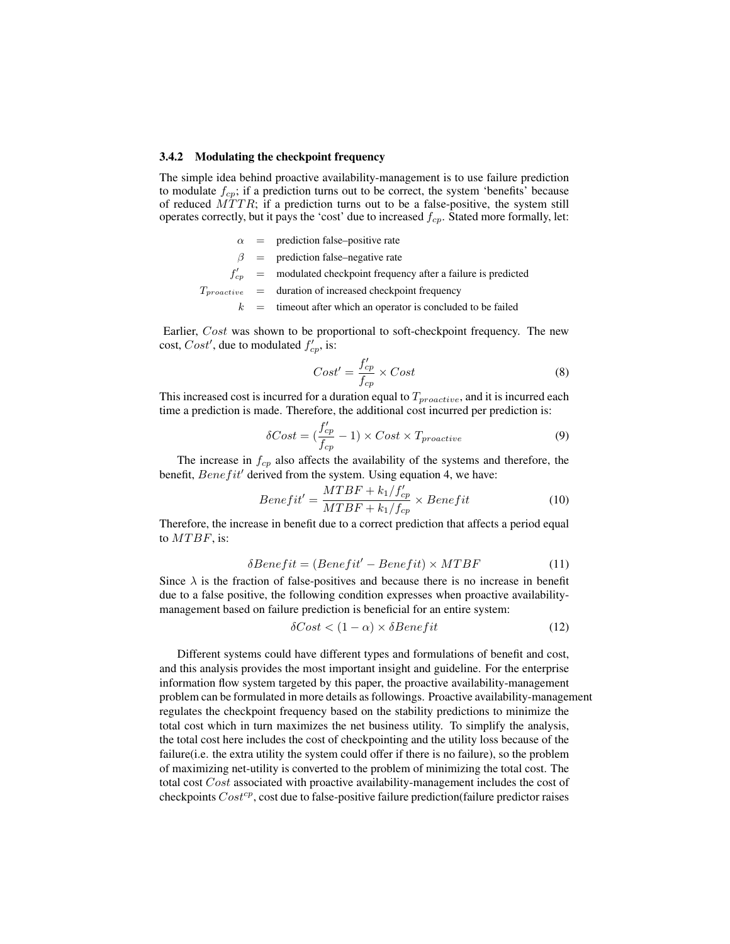#### 3.4.2 Modulating the checkpoint frequency

The simple idea behind proactive availability-management is to use failure prediction to modulate  $f_{\text{cv}}$ ; if a prediction turns out to be correct, the system 'benefits' because of reduced  $\widehat{MTTR}$ ; if a prediction turns out to be a false-positive, the system still operates correctly, but it pays the 'cost' due to increased  $f_{cp}$ . Stated more formally, let:

 $\alpha$  = prediction false–positive rate  $\beta$  = prediction false–negative rate  $f'_{cp}$  = modulated checkpoint frequency after a failure is predicted  $T_{\text{proactive}}$  = duration of increased checkpoint frequency  $k =$  timeout after which an operator is concluded to be failed

Earlier, Cost was shown to be proportional to soft-checkpoint frequency. The new cost,  $Cost'$ , due to modulated  $f'_{cp}$ , is:

$$
Cost' = \frac{f'_{cp}}{f_{cp}} \times Cost \tag{8}
$$

This increased cost is incurred for a duration equal to  $T_{proactive}$ , and it is incurred each time a prediction is made. Therefore, the additional cost incurred per prediction is:

$$
\delta Cost = \left(\frac{f_{cp}'}{f_{cp}} - 1\right) \times Cost \times T_{proactive} \tag{9}
$$

The increase in  $f_{cp}$  also affects the availability of the systems and therefore, the benefit,  $Benefit'$  derived from the system. Using equation 4, we have:

$$
Benefit' = \frac{MTBF + k_1/f_{cp}'}{MTBF + k_1/f_{cp}} \times Benefit
$$
\n(10)

Therefore, the increase in benefit due to a correct prediction that affects a period equal to  $MTBF$ , is:

$$
\delta Benefit = (Benefit' - Benefit) \times MTBF \tag{11}
$$

Since  $\lambda$  is the fraction of false-positives and because there is no increase in benefit due to a false positive, the following condition expresses when proactive availabilitymanagement based on failure prediction is beneficial for an entire system:

$$
\delta Cost < (1 - \alpha) \times \delta Benefit \tag{12}
$$

Different systems could have different types and formulations of benefit and cost, and this analysis provides the most important insight and guideline. For the enterprise information flow system targeted by this paper, the proactive availability-management problem can be formulated in more details as followings. Proactive availability-management regulates the checkpoint frequency based on the stability predictions to minimize the total cost which in turn maximizes the net business utility. To simplify the analysis, the total cost here includes the cost of checkpointing and the utility loss because of the failure(i.e. the extra utility the system could offer if there is no failure), so the problem of maximizing net-utility is converted to the problem of minimizing the total cost. The total cost Cost associated with proactive availability-management includes the cost of checkpoints  $Cost^{cp}$ , cost due to false-positive failure prediction(failure predictor raises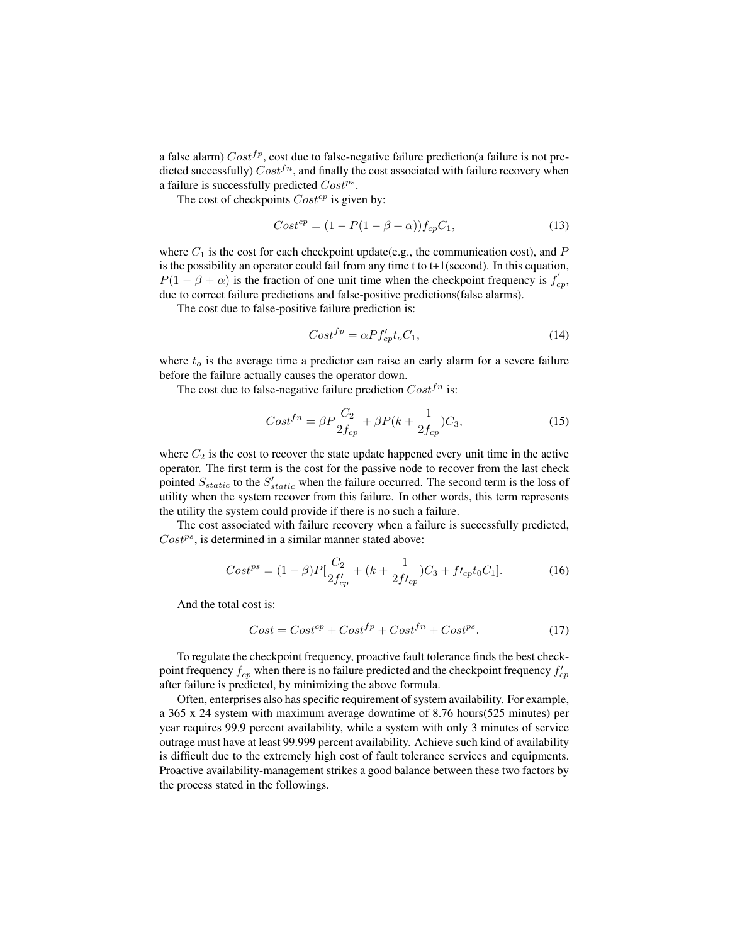a false alarm)  $Cost^{fp}$ , cost due to false-negative failure prediction(a failure is not predicted successfully)  $Cost^{fn}$ , and finally the cost associated with failure recovery when a failure is successfully predicted  $Cost^{ps}$ .

The cost of checkpoints  $Cost^{cp}$  is given by:

$$
Cost^{cp} = (1 - P(1 - \beta + \alpha))f_{cp}C_1,
$$
\n(13)

where  $C_1$  is the cost for each checkpoint update(e.g., the communication cost), and  $P$ is the possibility an operator could fail from any time t to  $t+1$  (second). In this equation,  $P(1 - \beta + \alpha)$  is the fraction of one unit time when the checkpoint frequency is  $f'_{cp}$ , due to correct failure predictions and false-positive predictions(false alarms).

The cost due to false-positive failure prediction is:

$$
Cost^{fp} = \alpha P f_{cp}' t_o C_1,\tag{14}
$$

where  $t<sub>o</sub>$  is the average time a predictor can raise an early alarm for a severe failure before the failure actually causes the operator down.

The cost due to false-negative failure prediction  $Cost^{fn}$  is:

$$
Cost^{fn} = \beta P \frac{C_2}{2f_{cp}} + \beta P(k + \frac{1}{2f_{cp}})C_3,
$$
\n(15)

where  $C_2$  is the cost to recover the state update happened every unit time in the active operator. The first term is the cost for the passive node to recover from the last check pointed  $S_{static}$  to the  $S'_{static}$  when the failure occurred. The second term is the loss of utility when the system recover from this failure. In other words, this term represents the utility the system could provide if there is no such a failure.

The cost associated with failure recovery when a failure is successfully predicted,  $Cost^{ps}$ , is determined in a similar manner stated above:

$$
Cost^{ps} = (1 - \beta)P[\frac{C_2}{2f'_{cp}} + (k + \frac{1}{2f'_{cp}})C_3 + f'_{cp}t_0C_1].
$$
 (16)

And the total cost is:

$$
Cost = Cost^{cp} + Cost^{fp} + Cost^{fn} + Cost^{ps}.
$$
\n(17)

To regulate the checkpoint frequency, proactive fault tolerance finds the best checkpoint frequency  $f_{cp}$  when there is no failure predicted and the checkpoint frequency  $f_{cp}'$ after failure is predicted, by minimizing the above formula.

Often, enterprises also has specific requirement of system availability. For example, a 365 x 24 system with maximum average downtime of 8.76 hours(525 minutes) per year requires 99.9 percent availability, while a system with only 3 minutes of service outrage must have at least 99.999 percent availability. Achieve such kind of availability is difficult due to the extremely high cost of fault tolerance services and equipments. Proactive availability-management strikes a good balance between these two factors by the process stated in the followings.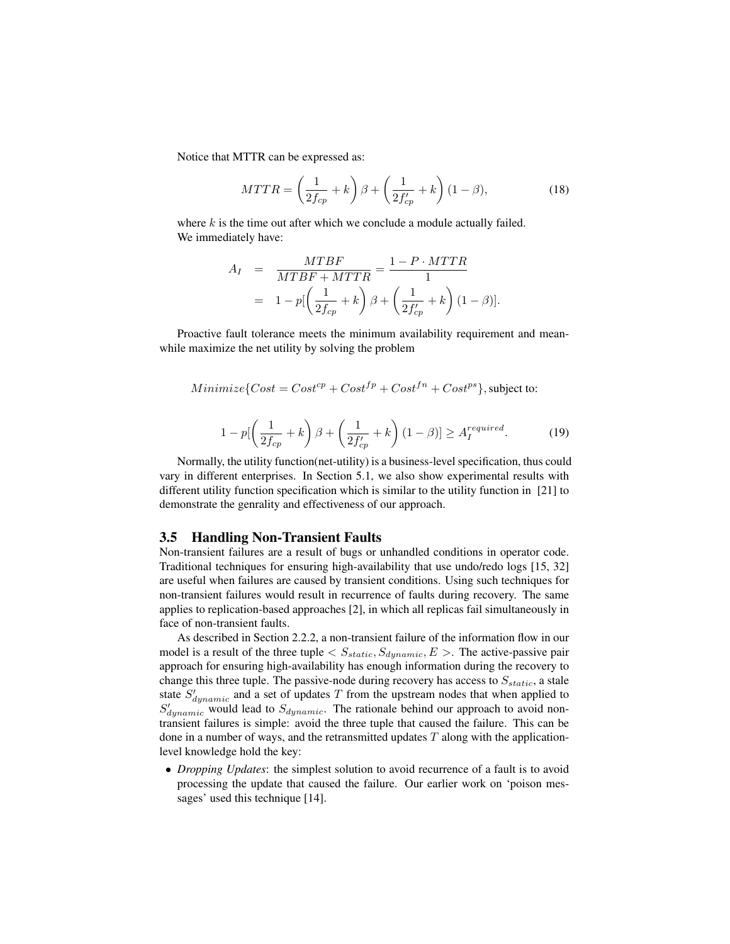Notice that MTTR can be expressed as:

$$
MTTR = \left(\frac{1}{2f_{cp}} + k\right)\beta + \left(\frac{1}{2f'_{cp}} + k\right)(1-\beta),\tag{18}
$$

where  $k$  is the time out after which we conclude a module actually failed. We immediately have:

$$
A_{I} = \frac{MTBF}{MTBF + MTTR} = \frac{1 - P \cdot MTTR}{1}
$$

$$
= 1 - p \left( \frac{1}{2f_{cp}} + k \right) \beta + \left( \frac{1}{2f'_{cp}} + k \right) (1 - \beta).
$$

Proactive fault tolerance meets the minimum availability requirement and meanwhile maximize the net utility by solving the problem

 $Minimize\{Cost = Cost^{cp} + Cost^{fp} + Cost^{fn} + Cost^{ps}\}$ , subject to:

$$
1 - p\left(\frac{1}{2f_{cp}} + k\right)\beta + \left(\frac{1}{2f'_{cp}} + k\right)(1 - \beta) \ge A_I^{required}.\tag{19}
$$

Normally, the utility function(net-utility) is a business-level specification, thus could vary in different enterprises. In Section 5.1, we also show experimental results with different utility function specification which is similar to the utility function in [21] to demonstrate the genrality and effectiveness of our approach.

#### 3.5 Handling Non-Transient Faults

Non-transient failures are a result of bugs or unhandled conditions in operator code. Traditional techniques for ensuring high-availability that use undo/redo logs [15, 32] are useful when failures are caused by transient conditions. Using such techniques for non-transient failures would result in recurrence of faults during recovery. The same applies to replication-based approaches [2], in which all replicas fail simultaneously in face of non-transient faults.

As described in Section 2.2.2, a non-transient failure of the information flow in our model is a result of the three tuple  $\langle S_{static}, S_{dynamic}, E \rangle$ . The active-passive pair approach for ensuring high-availability has enough information during the recovery to change this three tuple. The passive-node during recovery has access to  $S_{static}$ , a stale state  $S'_{dynamic}$  and a set of updates T from the upstream nodes that when applied to  $S'_{dynamic}$  would lead to  $S_{dynamic}$ . The rationale behind our approach to avoid nontransient failures is simple: avoid the three tuple that caused the failure. This can be done in a number of ways, and the retransmitted updates  $T$  along with the applicationlevel knowledge hold the key:

• *Dropping Updates*: the simplest solution to avoid recurrence of a fault is to avoid processing the update that caused the failure. Our earlier work on 'poison messages' used this technique [14].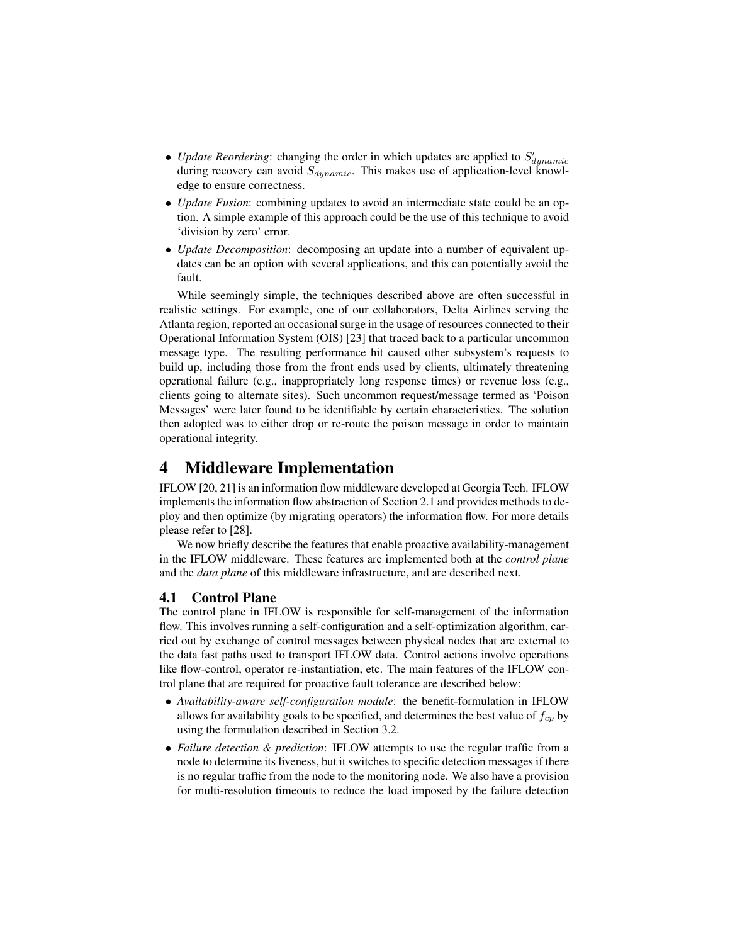- *Update Reordering*: changing the order in which updates are applied to  $S'_{dynamic}$ during recovery can avoid  $S_{dynamic}$ . This makes use of application-level knowledge to ensure correctness.
- *Update Fusion*: combining updates to avoid an intermediate state could be an option. A simple example of this approach could be the use of this technique to avoid 'division by zero' error.
- *Update Decomposition*: decomposing an update into a number of equivalent updates can be an option with several applications, and this can potentially avoid the fault.

While seemingly simple, the techniques described above are often successful in realistic settings. For example, one of our collaborators, Delta Airlines serving the Atlanta region, reported an occasional surge in the usage of resources connected to their Operational Information System (OIS) [23] that traced back to a particular uncommon message type. The resulting performance hit caused other subsystem's requests to build up, including those from the front ends used by clients, ultimately threatening operational failure (e.g., inappropriately long response times) or revenue loss (e.g., clients going to alternate sites). Such uncommon request/message termed as 'Poison Messages' were later found to be identifiable by certain characteristics. The solution then adopted was to either drop or re-route the poison message in order to maintain operational integrity.

# 4 Middleware Implementation

IFLOW [20, 21] is an information flow middleware developed at Georgia Tech. IFLOW implements the information flow abstraction of Section 2.1 and provides methods to deploy and then optimize (by migrating operators) the information flow. For more details please refer to [28].

We now briefly describe the features that enable proactive availability-management in the IFLOW middleware. These features are implemented both at the *control plane* and the *data plane* of this middleware infrastructure, and are described next.

### 4.1 Control Plane

The control plane in IFLOW is responsible for self-management of the information flow. This involves running a self-configuration and a self-optimization algorithm, carried out by exchange of control messages between physical nodes that are external to the data fast paths used to transport IFLOW data. Control actions involve operations like flow-control, operator re-instantiation, etc. The main features of the IFLOW control plane that are required for proactive fault tolerance are described below:

- *Availability-aware self-configuration module*: the benefit-formulation in IFLOW allows for availability goals to be specified, and determines the best value of  $f_{cp}$  by using the formulation described in Section 3.2.
- *Failure detection & prediction*: IFLOW attempts to use the regular traffic from a node to determine its liveness, but it switches to specific detection messages if there is no regular traffic from the node to the monitoring node. We also have a provision for multi-resolution timeouts to reduce the load imposed by the failure detection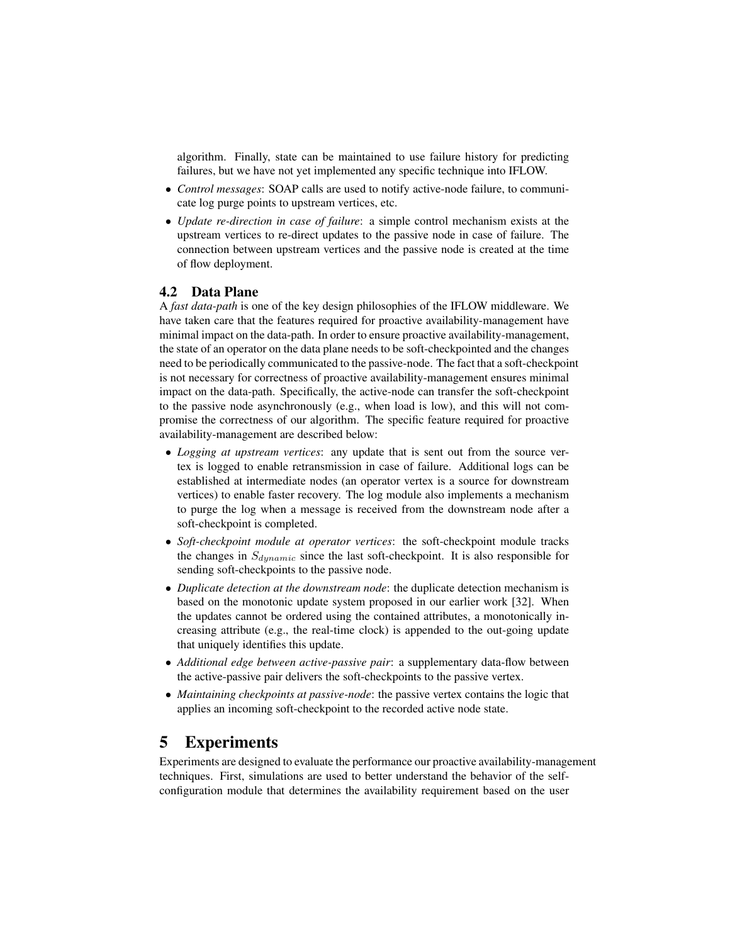algorithm. Finally, state can be maintained to use failure history for predicting failures, but we have not yet implemented any specific technique into IFLOW.

- *Control messages*: SOAP calls are used to notify active-node failure, to communicate log purge points to upstream vertices, etc.
- *Update re-direction in case of failure*: a simple control mechanism exists at the upstream vertices to re-direct updates to the passive node in case of failure. The connection between upstream vertices and the passive node is created at the time of flow deployment.

#### 4.2 Data Plane

A *fast data-path* is one of the key design philosophies of the IFLOW middleware. We have taken care that the features required for proactive availability-management have minimal impact on the data-path. In order to ensure proactive availability-management, the state of an operator on the data plane needs to be soft-checkpointed and the changes need to be periodically communicated to the passive-node. The fact that a soft-checkpoint is not necessary for correctness of proactive availability-management ensures minimal impact on the data-path. Specifically, the active-node can transfer the soft-checkpoint to the passive node asynchronously (e.g., when load is low), and this will not compromise the correctness of our algorithm. The specific feature required for proactive availability-management are described below:

- *Logging at upstream vertices*: any update that is sent out from the source vertex is logged to enable retransmission in case of failure. Additional logs can be established at intermediate nodes (an operator vertex is a source for downstream vertices) to enable faster recovery. The log module also implements a mechanism to purge the log when a message is received from the downstream node after a soft-checkpoint is completed.
- *Soft-checkpoint module at operator vertices*: the soft-checkpoint module tracks the changes in  $S_{dynamic}$  since the last soft-checkpoint. It is also responsible for sending soft-checkpoints to the passive node.
- *Duplicate detection at the downstream node*: the duplicate detection mechanism is based on the monotonic update system proposed in our earlier work [32]. When the updates cannot be ordered using the contained attributes, a monotonically increasing attribute (e.g., the real-time clock) is appended to the out-going update that uniquely identifies this update.
- *Additional edge between active-passive pair*: a supplementary data-flow between the active-passive pair delivers the soft-checkpoints to the passive vertex.
- *Maintaining checkpoints at passive-node*: the passive vertex contains the logic that applies an incoming soft-checkpoint to the recorded active node state.

# 5 Experiments

Experiments are designed to evaluate the performance our proactive availability-management techniques. First, simulations are used to better understand the behavior of the selfconfiguration module that determines the availability requirement based on the user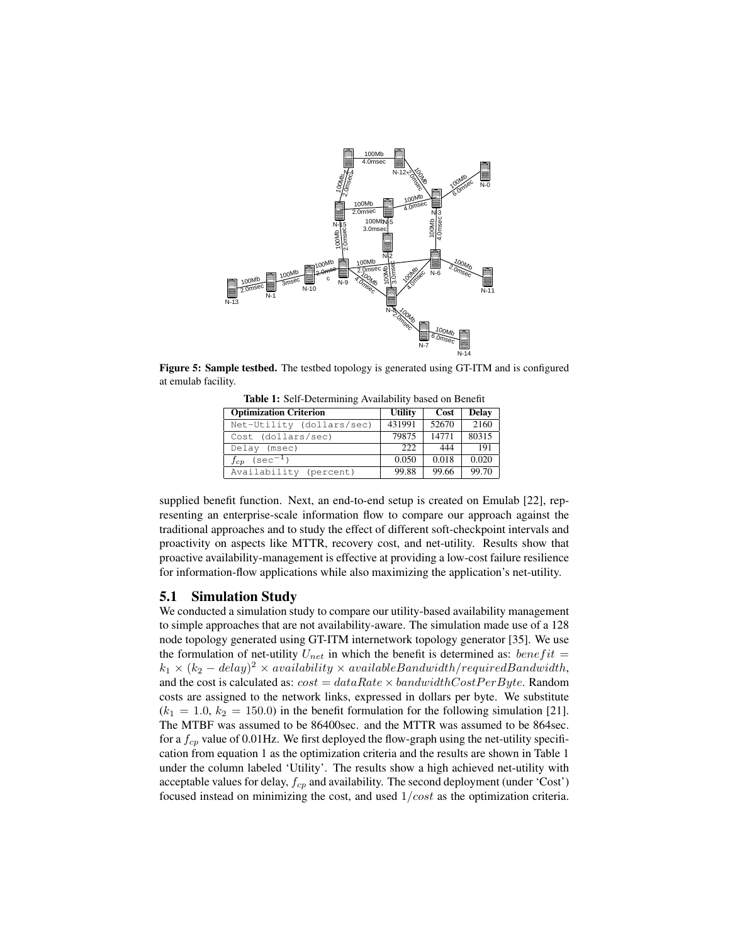

Figure 5: Sample testbed. The testbed topology is generated using GT-ITM and is configured at emulab facility.

Table 1: Self-Determining Availability based on Benefit

| <b>Optimization Criterion</b> | <b>Utility</b> | Cost  | <b>Delay</b> |
|-------------------------------|----------------|-------|--------------|
| Net-Utility (dollars/sec)     | 431991         | 52670 | 2160         |
| Cost (dollars/sec)            | 79875          | 14771 | 80315        |
| Delay (msec)                  | 222            | 444   | 191          |
| $(\sec^{-1})$<br>$f_{cp}$     | 0.050          | 0.018 | 0.020        |
| Availability (percent)        | 99.88          | 99.66 | 99.70        |

supplied benefit function. Next, an end-to-end setup is created on Emulab [22], representing an enterprise-scale information flow to compare our approach against the traditional approaches and to study the effect of different soft-checkpoint intervals and proactivity on aspects like MTTR, recovery cost, and net-utility. Results show that proactive availability-management is effective at providing a low-cost failure resilience for information-flow applications while also maximizing the application's net-utility.

### 5.1 Simulation Study

We conducted a simulation study to compare our utility-based availability management to simple approaches that are not availability-aware. The simulation made use of a 128 node topology generated using GT-ITM internetwork topology generator [35]. We use the formulation of net-utility  $U_{net}$  in which the benefit is determined as:  $benefit$  $k_1 \times (k_2 - delay)^2 \times availability \times availableBandwidth/requiredBandwidth,$ and the cost is calculated as:  $cost = dataRate \times bandwidthCostPerByte$ . Random costs are assigned to the network links, expressed in dollars per byte. We substitute  $(k_1 = 1.0, k_2 = 150.0)$  in the benefit formulation for the following simulation [21]. The MTBF was assumed to be 86400sec. and the MTTR was assumed to be 864sec. for a  $f_{cp}$  value of 0.01Hz. We first deployed the flow-graph using the net-utility specification from equation 1 as the optimization criteria and the results are shown in Table 1 under the column labeled 'Utility'. The results show a high achieved net-utility with acceptable values for delay,  $f_{cp}$  and availability. The second deployment (under 'Cost') focused instead on minimizing the cost, and used  $1/cost$  as the optimization criteria.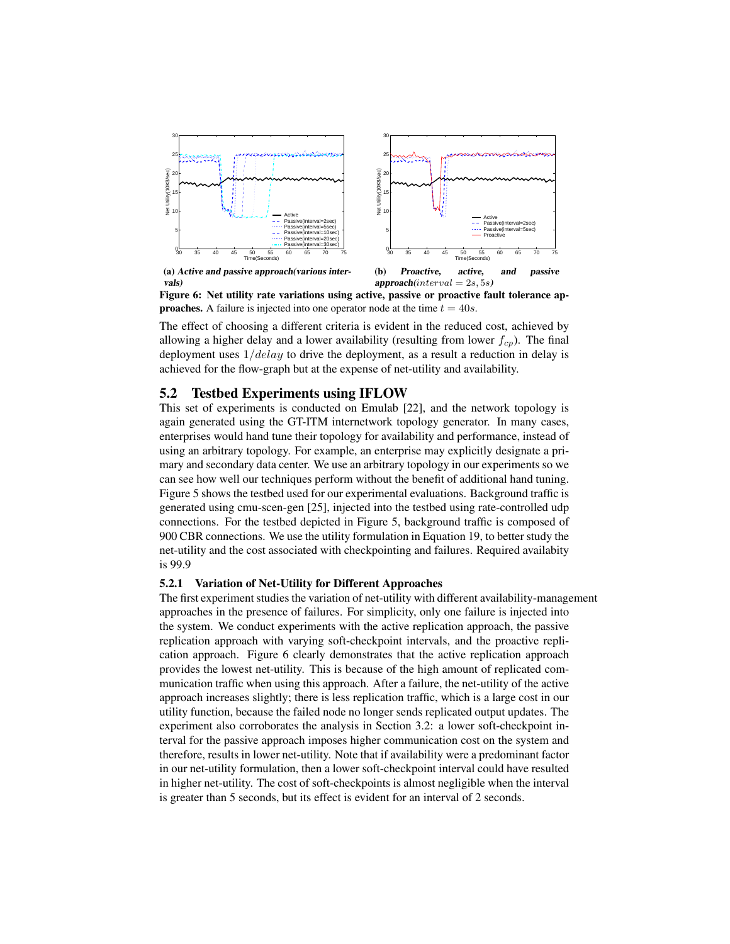

 $$ 

Figure 6: Net utility rate variations using active, passive or proactive fault tolerance ap**proaches.** A failure is injected into one operator node at the time  $t = 40s$ .

The effect of choosing a different criteria is evident in the reduced cost, achieved by allowing a higher delay and a lower availability (resulting from lower  $f_{cp}$ ). The final deployment uses 1/delay to drive the deployment, as a result a reduction in delay is achieved for the flow-graph but at the expense of net-utility and availability.

# 5.2 Testbed Experiments using IFLOW

vals)

This set of experiments is conducted on Emulab [22], and the network topology is again generated using the GT-ITM internetwork topology generator. In many cases, enterprises would hand tune their topology for availability and performance, instead of using an arbitrary topology. For example, an enterprise may explicitly designate a primary and secondary data center. We use an arbitrary topology in our experiments so we can see how well our techniques perform without the benefit of additional hand tuning. Figure 5 shows the testbed used for our experimental evaluations. Background traffic is generated using cmu-scen-gen [25], injected into the testbed using rate-controlled udp connections. For the testbed depicted in Figure 5, background traffic is composed of 900 CBR connections. We use the utility formulation in Equation 19, to better study the net-utility and the cost associated with checkpointing and failures. Required availabity is 99.9

#### 5.2.1 Variation of Net-Utility for Different Approaches

The first experiment studies the variation of net-utility with different availability-management approaches in the presence of failures. For simplicity, only one failure is injected into the system. We conduct experiments with the active replication approach, the passive replication approach with varying soft-checkpoint intervals, and the proactive replication approach. Figure 6 clearly demonstrates that the active replication approach provides the lowest net-utility. This is because of the high amount of replicated communication traffic when using this approach. After a failure, the net-utility of the active approach increases slightly; there is less replication traffic, which is a large cost in our utility function, because the failed node no longer sends replicated output updates. The experiment also corroborates the analysis in Section 3.2: a lower soft-checkpoint interval for the passive approach imposes higher communication cost on the system and therefore, results in lower net-utility. Note that if availability were a predominant factor in our net-utility formulation, then a lower soft-checkpoint interval could have resulted in higher net-utility. The cost of soft-checkpoints is almost negligible when the interval is greater than 5 seconds, but its effect is evident for an interval of 2 seconds.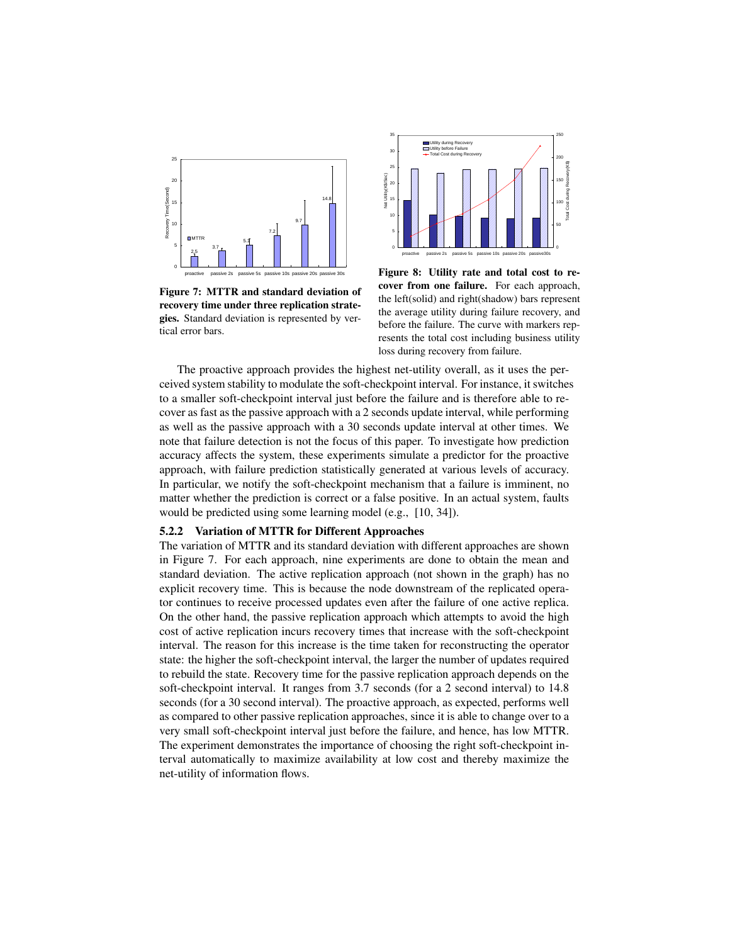

Figure 7: MTTR and standard deviation of recovery time under three replication strategies. Standard deviation is represented by vertical error bars.



Figure 8: Utility rate and total cost to recover from one failure. For each approach, the left(solid) and right(shadow) bars represent the average utility during failure recovery, and before the failure. The curve with markers represents the total cost including business utility loss during recovery from failure.

The proactive approach provides the highest net-utility overall, as it uses the perceived system stability to modulate the soft-checkpoint interval. For instance, it switches to a smaller soft-checkpoint interval just before the failure and is therefore able to recover as fast as the passive approach with a 2 seconds update interval, while performing as well as the passive approach with a 30 seconds update interval at other times. We note that failure detection is not the focus of this paper. To investigate how prediction accuracy affects the system, these experiments simulate a predictor for the proactive approach, with failure prediction statistically generated at various levels of accuracy. In particular, we notify the soft-checkpoint mechanism that a failure is imminent, no matter whether the prediction is correct or a false positive. In an actual system, faults would be predicted using some learning model (e.g., [10, 34]).

#### 5.2.2 Variation of MTTR for Different Approaches

The variation of MTTR and its standard deviation with different approaches are shown in Figure 7. For each approach, nine experiments are done to obtain the mean and standard deviation. The active replication approach (not shown in the graph) has no explicit recovery time. This is because the node downstream of the replicated operator continues to receive processed updates even after the failure of one active replica. On the other hand, the passive replication approach which attempts to avoid the high cost of active replication incurs recovery times that increase with the soft-checkpoint interval. The reason for this increase is the time taken for reconstructing the operator state: the higher the soft-checkpoint interval, the larger the number of updates required to rebuild the state. Recovery time for the passive replication approach depends on the soft-checkpoint interval. It ranges from 3.7 seconds (for a 2 second interval) to 14.8 seconds (for a 30 second interval). The proactive approach, as expected, performs well as compared to other passive replication approaches, since it is able to change over to a very small soft-checkpoint interval just before the failure, and hence, has low MTTR. The experiment demonstrates the importance of choosing the right soft-checkpoint interval automatically to maximize availability at low cost and thereby maximize the net-utility of information flows.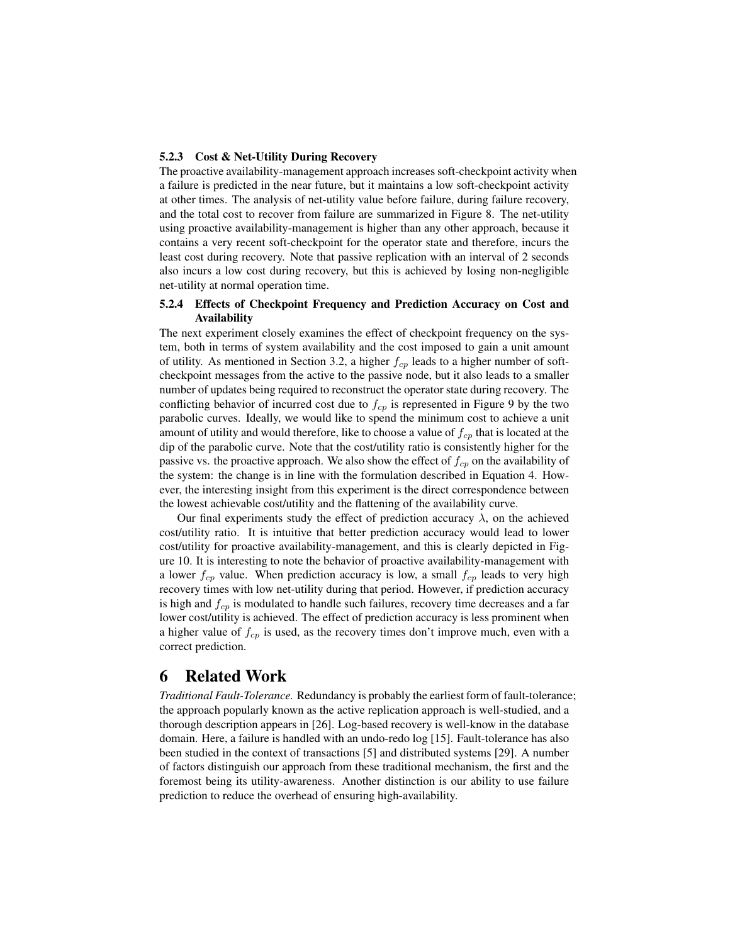#### 5.2.3 Cost & Net-Utility During Recovery

The proactive availability-management approach increases soft-checkpoint activity when a failure is predicted in the near future, but it maintains a low soft-checkpoint activity at other times. The analysis of net-utility value before failure, during failure recovery, and the total cost to recover from failure are summarized in Figure 8. The net-utility using proactive availability-management is higher than any other approach, because it contains a very recent soft-checkpoint for the operator state and therefore, incurs the least cost during recovery. Note that passive replication with an interval of 2 seconds also incurs a low cost during recovery, but this is achieved by losing non-negligible net-utility at normal operation time.

#### 5.2.4 Effects of Checkpoint Frequency and Prediction Accuracy on Cost and Availability

The next experiment closely examines the effect of checkpoint frequency on the system, both in terms of system availability and the cost imposed to gain a unit amount of utility. As mentioned in Section 3.2, a higher  $f_{cp}$  leads to a higher number of softcheckpoint messages from the active to the passive node, but it also leads to a smaller number of updates being required to reconstruct the operator state during recovery. The conflicting behavior of incurred cost due to  $f_{cp}$  is represented in Figure 9 by the two parabolic curves. Ideally, we would like to spend the minimum cost to achieve a unit amount of utility and would therefore, like to choose a value of  $f_{cp}$  that is located at the dip of the parabolic curve. Note that the cost/utility ratio is consistently higher for the passive vs. the proactive approach. We also show the effect of  $f_{cp}$  on the availability of the system: the change is in line with the formulation described in Equation 4. However, the interesting insight from this experiment is the direct correspondence between the lowest achievable cost/utility and the flattening of the availability curve.

Our final experiments study the effect of prediction accuracy  $\lambda$ , on the achieved cost/utility ratio. It is intuitive that better prediction accuracy would lead to lower cost/utility for proactive availability-management, and this is clearly depicted in Figure 10. It is interesting to note the behavior of proactive availability-management with a lower  $f_{cp}$  value. When prediction accuracy is low, a small  $f_{cp}$  leads to very high recovery times with low net-utility during that period. However, if prediction accuracy is high and  $f_{cp}$  is modulated to handle such failures, recovery time decreases and a far lower cost/utility is achieved. The effect of prediction accuracy is less prominent when a higher value of  $f_{cp}$  is used, as the recovery times don't improve much, even with a correct prediction.

# 6 Related Work

*Traditional Fault-Tolerance.* Redundancy is probably the earliest form of fault-tolerance; the approach popularly known as the active replication approach is well-studied, and a thorough description appears in [26]. Log-based recovery is well-know in the database domain. Here, a failure is handled with an undo-redo log [15]. Fault-tolerance has also been studied in the context of transactions [5] and distributed systems [29]. A number of factors distinguish our approach from these traditional mechanism, the first and the foremost being its utility-awareness. Another distinction is our ability to use failure prediction to reduce the overhead of ensuring high-availability.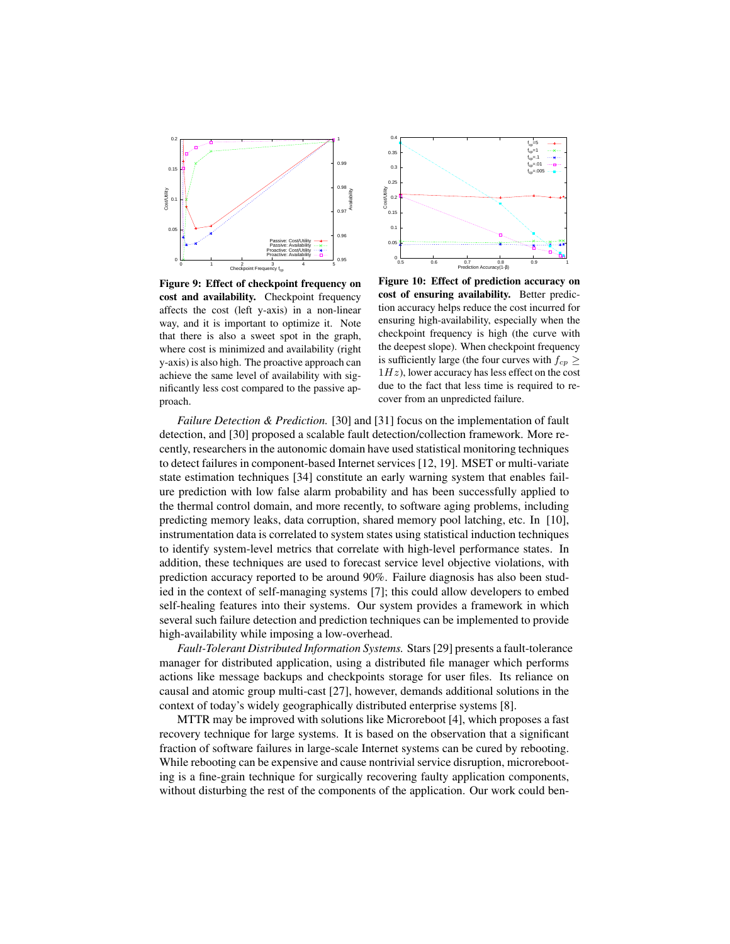

Figure 9: Effect of checkpoint frequency on cost and availability. Checkpoint frequency affects the cost (left y-axis) in a non-linear way, and it is important to optimize it. Note that there is also a sweet spot in the graph, where cost is minimized and availability (right y-axis) is also high. The proactive approach can achieve the same level of availability with significantly less cost compared to the passive approach.



Figure 10: Effect of prediction accuracy on cost of ensuring availability. Better prediction accuracy helps reduce the cost incurred for ensuring high-availability, especially when the checkpoint frequency is high (the curve with the deepest slope). When checkpoint frequency is sufficiently large (the four curves with  $f_{cp} \geq$  $1Hz$ ), lower accuracy has less effect on the cost due to the fact that less time is required to recover from an unpredicted failure.

*Failure Detection & Prediction.* [30] and [31] focus on the implementation of fault detection, and [30] proposed a scalable fault detection/collection framework. More recently, researchers in the autonomic domain have used statistical monitoring techniques to detect failures in component-based Internet services [12, 19]. MSET or multi-variate state estimation techniques [34] constitute an early warning system that enables failure prediction with low false alarm probability and has been successfully applied to the thermal control domain, and more recently, to software aging problems, including predicting memory leaks, data corruption, shared memory pool latching, etc. In [10], instrumentation data is correlated to system states using statistical induction techniques to identify system-level metrics that correlate with high-level performance states. In addition, these techniques are used to forecast service level objective violations, with prediction accuracy reported to be around 90%. Failure diagnosis has also been studied in the context of self-managing systems [7]; this could allow developers to embed self-healing features into their systems. Our system provides a framework in which several such failure detection and prediction techniques can be implemented to provide high-availability while imposing a low-overhead.

*Fault-Tolerant Distributed Information Systems.* Stars [29] presents a fault-tolerance manager for distributed application, using a distributed file manager which performs actions like message backups and checkpoints storage for user files. Its reliance on causal and atomic group multi-cast [27], however, demands additional solutions in the context of today's widely geographically distributed enterprise systems [8].

MTTR may be improved with solutions like Microreboot [4], which proposes a fast recovery technique for large systems. It is based on the observation that a significant fraction of software failures in large-scale Internet systems can be cured by rebooting. While rebooting can be expensive and cause nontrivial service disruption, microrebooting is a fine-grain technique for surgically recovering faulty application components, without disturbing the rest of the components of the application. Our work could ben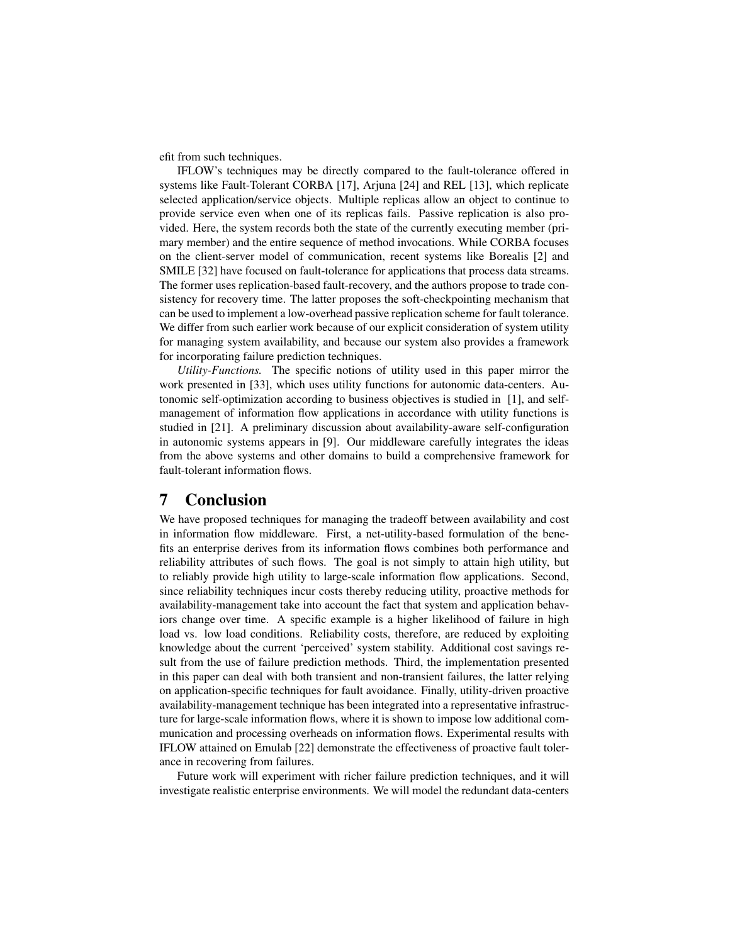efit from such techniques.

IFLOW's techniques may be directly compared to the fault-tolerance offered in systems like Fault-Tolerant CORBA [17], Arjuna [24] and REL [13], which replicate selected application/service objects. Multiple replicas allow an object to continue to provide service even when one of its replicas fails. Passive replication is also provided. Here, the system records both the state of the currently executing member (primary member) and the entire sequence of method invocations. While CORBA focuses on the client-server model of communication, recent systems like Borealis [2] and SMILE [32] have focused on fault-tolerance for applications that process data streams. The former uses replication-based fault-recovery, and the authors propose to trade consistency for recovery time. The latter proposes the soft-checkpointing mechanism that can be used to implement a low-overhead passive replication scheme for fault tolerance. We differ from such earlier work because of our explicit consideration of system utility for managing system availability, and because our system also provides a framework for incorporating failure prediction techniques.

*Utility-Functions.* The specific notions of utility used in this paper mirror the work presented in [33], which uses utility functions for autonomic data-centers. Autonomic self-optimization according to business objectives is studied in [1], and selfmanagement of information flow applications in accordance with utility functions is studied in [21]. A preliminary discussion about availability-aware self-configuration in autonomic systems appears in [9]. Our middleware carefully integrates the ideas from the above systems and other domains to build a comprehensive framework for fault-tolerant information flows.

# 7 Conclusion

We have proposed techniques for managing the tradeoff between availability and cost in information flow middleware. First, a net-utility-based formulation of the benefits an enterprise derives from its information flows combines both performance and reliability attributes of such flows. The goal is not simply to attain high utility, but to reliably provide high utility to large-scale information flow applications. Second, since reliability techniques incur costs thereby reducing utility, proactive methods for availability-management take into account the fact that system and application behaviors change over time. A specific example is a higher likelihood of failure in high load vs. low load conditions. Reliability costs, therefore, are reduced by exploiting knowledge about the current 'perceived' system stability. Additional cost savings result from the use of failure prediction methods. Third, the implementation presented in this paper can deal with both transient and non-transient failures, the latter relying on application-specific techniques for fault avoidance. Finally, utility-driven proactive availability-management technique has been integrated into a representative infrastructure for large-scale information flows, where it is shown to impose low additional communication and processing overheads on information flows. Experimental results with IFLOW attained on Emulab [22] demonstrate the effectiveness of proactive fault tolerance in recovering from failures.

Future work will experiment with richer failure prediction techniques, and it will investigate realistic enterprise environments. We will model the redundant data-centers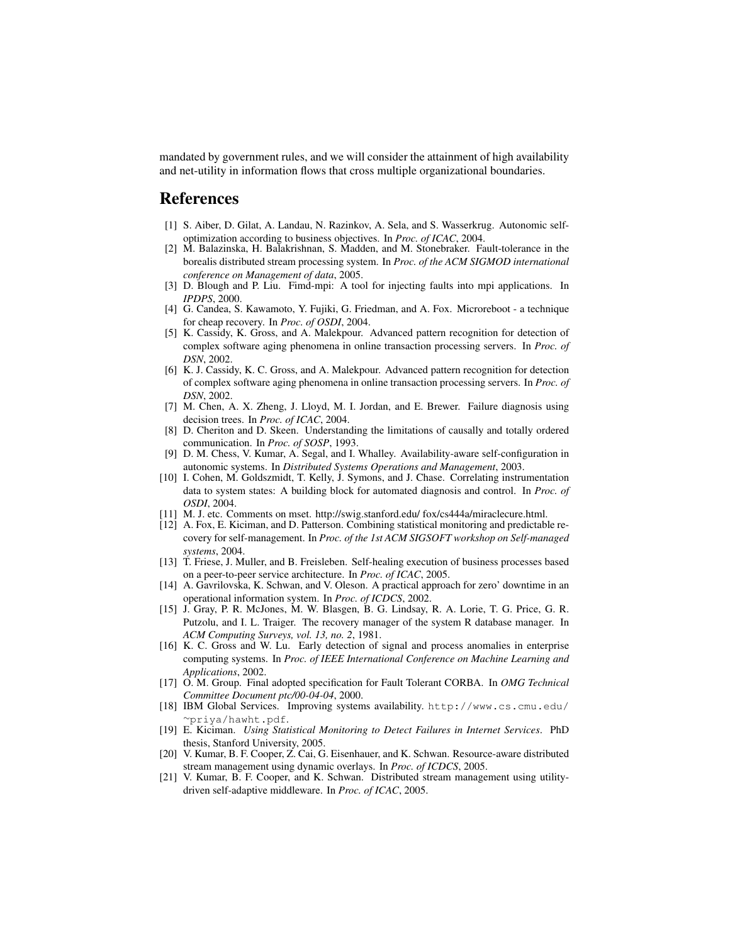mandated by government rules, and we will consider the attainment of high availability and net-utility in information flows that cross multiple organizational boundaries.

## References

- [1] S. Aiber, D. Gilat, A. Landau, N. Razinkov, A. Sela, and S. Wasserkrug. Autonomic selfoptimization according to business objectives. In *Proc. of ICAC*, 2004.
- [2] M. Balazinska, H. Balakrishnan, S. Madden, and M. Stonebraker. Fault-tolerance in the borealis distributed stream processing system. In *Proc. of the ACM SIGMOD international conference on Management of data*, 2005.
- [3] D. Blough and P. Liu. Fimd-mpi: A tool for injecting faults into mpi applications. In *IPDPS*, 2000.
- [4] G. Candea, S. Kawamoto, Y. Fujiki, G. Friedman, and A. Fox. Microreboot a technique for cheap recovery. In *Proc. of OSDI*, 2004.
- [5] K. Cassidy, K. Gross, and A. Malekpour. Advanced pattern recognition for detection of complex software aging phenomena in online transaction processing servers. In *Proc. of DSN*, 2002.
- [6] K. J. Cassidy, K. C. Gross, and A. Malekpour. Advanced pattern recognition for detection of complex software aging phenomena in online transaction processing servers. In *Proc. of DSN*, 2002.
- [7] M. Chen, A. X. Zheng, J. Lloyd, M. I. Jordan, and E. Brewer. Failure diagnosis using decision trees. In *Proc. of ICAC*, 2004.
- [8] D. Cheriton and D. Skeen. Understanding the limitations of causally and totally ordered communication. In *Proc. of SOSP*, 1993.
- [9] D. M. Chess, V. Kumar, A. Segal, and I. Whalley. Availability-aware self-configuration in autonomic systems. In *Distributed Systems Operations and Management*, 2003.
- [10] I. Cohen, M. Goldszmidt, T. Kelly, J. Symons, and J. Chase. Correlating instrumentation data to system states: A building block for automated diagnosis and control. In *Proc. of OSDI*, 2004.
- [11] M. J. etc. Comments on mset. http://swig.stanford.edu/ fox/cs444a/miraclecure.html.
- [12] A. Fox, E. Kiciman, and D. Patterson. Combining statistical monitoring and predictable recovery for self-management. In *Proc. of the 1st ACM SIGSOFT workshop on Self-managed systems*, 2004.
- [13] T. Friese, J. Muller, and B. Freisleben. Self-healing execution of business processes based on a peer-to-peer service architecture. In *Proc. of ICAC*, 2005.
- [14] A. Gavrilovska, K. Schwan, and V. Oleson. A practical approach for zero' downtime in an operational information system. In *Proc. of ICDCS*, 2002.
- [15] J. Gray, P. R. McJones, M. W. Blasgen, B. G. Lindsay, R. A. Lorie, T. G. Price, G. R. Putzolu, and I. L. Traiger. The recovery manager of the system R database manager. In *ACM Computing Surveys, vol. 13, no. 2*, 1981.
- [16] K. C. Gross and W. Lu. Early detection of signal and process anomalies in enterprise computing systems. In *Proc. of IEEE International Conference on Machine Learning and Applications*, 2002.
- [17] O. M. Group. Final adopted specification for Fault Tolerant CORBA. In *OMG Technical Committee Document ptc/00-04-04*, 2000.
- [18] IBM Global Services. Improving systems availability. http://www.cs.cmu.edu/ <sup>∼</sup>priya/hawht.pdf.
- [19] E. Kiciman. *Using Statistical Monitoring to Detect Failures in Internet Services*. PhD thesis, Stanford University, 2005.
- [20] V. Kumar, B. F. Cooper, Z. Cai, G. Eisenhauer, and K. Schwan. Resource-aware distributed stream management using dynamic overlays. In *Proc. of ICDCS*, 2005.
- [21] V. Kumar, B. F. Cooper, and K. Schwan. Distributed stream management using utilitydriven self-adaptive middleware. In *Proc. of ICAC*, 2005.